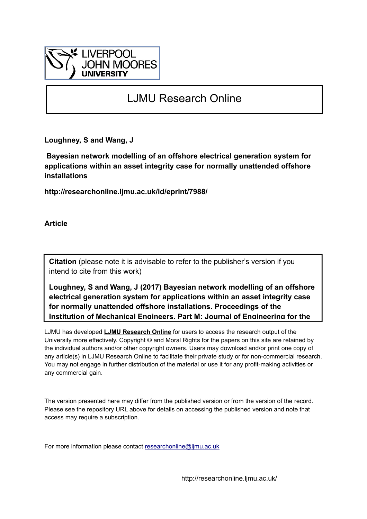

# LJMU Research Online

**Loughney, S and Wang, J**

 **Bayesian network modelling of an offshore electrical generation system for applications within an asset integrity case for normally unattended offshore installations**

**http://researchonline.ljmu.ac.uk/id/eprint/7988/**

**Article**

**Citation** (please note it is advisable to refer to the publisher's version if you intend to cite from this work)

**Loughney, S and Wang, J (2017) Bayesian network modelling of an offshore electrical generation system for applications within an asset integrity case for normally unattended offshore installations. Proceedings of the Institution of Mechanical Engineers, Part M: Journal of Engineering for the** 

LJMU has developed **[LJMU Research Online](http://researchonline.ljmu.ac.uk/)** for users to access the research output of the University more effectively. Copyright © and Moral Rights for the papers on this site are retained by the individual authors and/or other copyright owners. Users may download and/or print one copy of any article(s) in LJMU Research Online to facilitate their private study or for non-commercial research. You may not engage in further distribution of the material or use it for any profit-making activities or any commercial gain.

The version presented here may differ from the published version or from the version of the record. Please see the repository URL above for details on accessing the published version and note that access may require a subscription.

For more information please contact researchonline@limu.ac.uk

http://researchonline.ljmu.ac.uk/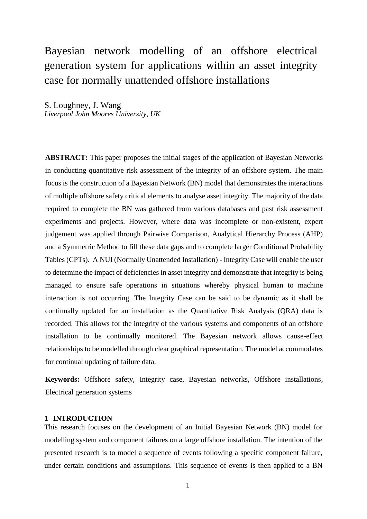# Bayesian network modelling of an offshore electrical generation system for applications within an asset integrity case for normally unattended offshore installations

S. Loughney, J. Wang *Liverpool John Moores University, UK*

**ABSTRACT:** This paper proposes the initial stages of the application of Bayesian Networks in conducting quantitative risk assessment of the integrity of an offshore system. The main focus is the construction of a Bayesian Network (BN) model that demonstrates the interactions of multiple offshore safety critical elements to analyse asset integrity. The majority of the data required to complete the BN was gathered from various databases and past risk assessment experiments and projects. However, where data was incomplete or non-existent, expert judgement was applied through Pairwise Comparison, Analytical Hierarchy Process (AHP) and a Symmetric Method to fill these data gaps and to complete larger Conditional Probability Tables (CPTs). A NUI (Normally Unattended Installation) - Integrity Case will enable the user to determine the impact of deficiencies in asset integrity and demonstrate that integrity is being managed to ensure safe operations in situations whereby physical human to machine interaction is not occurring. The Integrity Case can be said to be dynamic as it shall be continually updated for an installation as the Quantitative Risk Analysis (QRA) data is recorded. This allows for the integrity of the various systems and components of an offshore installation to be continually monitored. The Bayesian network allows cause-effect relationships to be modelled through clear graphical representation. The model accommodates for continual updating of failure data.

**Keywords:** Offshore safety, Integrity case, Bayesian networks, Offshore installations, Electrical generation systems

# **1 INTRODUCTION**

This research focuses on the development of an Initial Bayesian Network (BN) model for modelling system and component failures on a large offshore installation. The intention of the presented research is to model a sequence of events following a specific component failure, under certain conditions and assumptions. This sequence of events is then applied to a BN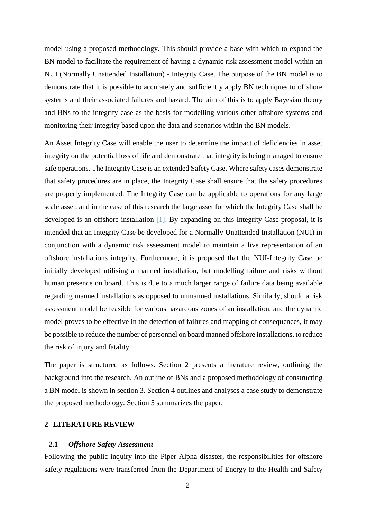model using a proposed methodology. This should provide a base with which to expand the BN model to facilitate the requirement of having a dynamic risk assessment model within an NUI (Normally Unattended Installation) - Integrity Case. The purpose of the BN model is to demonstrate that it is possible to accurately and sufficiently apply BN techniques to offshore systems and their associated failures and hazard. The aim of this is to apply Bayesian theory and BNs to the integrity case as the basis for modelling various other offshore systems and monitoring their integrity based upon the data and scenarios within the BN models.

An Asset Integrity Case will enable the user to determine the impact of deficiencies in asset integrity on the potential loss of life and demonstrate that integrity is being managed to ensure safe operations. The Integrity Case is an extended Safety Case. Where safety cases demonstrate that safety procedures are in place, the Integrity Case shall ensure that the safety procedures are properly implemented. The Integrity Case can be applicable to operations for any large scale asset, and in the case of this research the large asset for which the Integrity Case shall be developed is an offshore installation [1]. By expanding on this Integrity Case proposal, it is intended that an Integrity Case be developed for a Normally Unattended Installation (NUI) in conjunction with a dynamic risk assessment model to maintain a live representation of an offshore installations integrity. Furthermore, it is proposed that the NUI-Integrity Case be initially developed utilising a manned installation, but modelling failure and risks without human presence on board. This is due to a much larger range of failure data being available regarding manned installations as opposed to unmanned installations. Similarly, should a risk assessment model be feasible for various hazardous zones of an installation, and the dynamic model proves to be effective in the detection of failures and mapping of consequences, it may be possible to reduce the number of personnel on board manned offshore installations, to reduce the risk of injury and fatality.

The paper is structured as follows. Section 2 presents a literature review, outlining the background into the research. An outline of BNs and a proposed methodology of constructing a BN model is shown in section 3. Section 4 outlines and analyses a case study to demonstrate the proposed methodology. Section 5 summarizes the paper.

#### **2 LITERATURE REVIEW**

#### **2.1** *Offshore Safety Assessment*

Following the public inquiry into the Piper Alpha disaster, the responsibilities for offshore safety regulations were transferred from the Department of Energy to the Health and Safety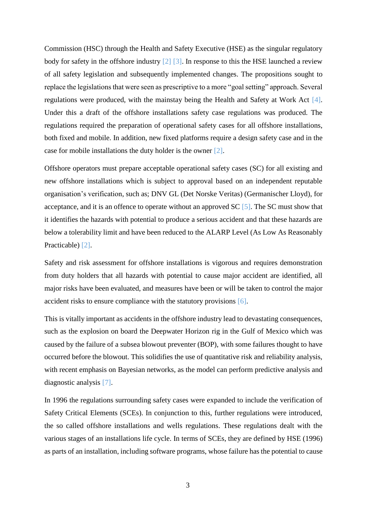Commission (HSC) through the Health and Safety Executive (HSE) as the singular regulatory body for safety in the offshore industry  $\lceil 2 \rceil \lceil 3 \rceil$ . In response to this the HSE launched a review of all safety legislation and subsequently implemented changes. The propositions sought to replace the legislations that were seen as prescriptive to a more "goal setting" approach. Several regulations were produced, with the mainstay being the Health and Safety at Work Act [4]. Under this a draft of the offshore installations safety case regulations was produced. The regulations required the preparation of operational safety cases for all offshore installations, both fixed and mobile. In addition, new fixed platforms require a design safety case and in the case for mobile installations the duty holder is the owner [2].

Offshore operators must prepare acceptable operational safety cases (SC) for all existing and new offshore installations which is subject to approval based on an independent reputable organisation's verification, such as; DNV GL (Det Norske Veritas) (Germanischer Lloyd), for acceptance, and it is an offence to operate without an approved SC [5]. The SC must show that it identifies the hazards with potential to produce a serious accident and that these hazards are below a tolerability limit and have been reduced to the ALARP Level (As Low As Reasonably Practicable) [2].

Safety and risk assessment for offshore installations is vigorous and requires demonstration from duty holders that all hazards with potential to cause major accident are identified, all major risks have been evaluated, and measures have been or will be taken to control the major accident risks to ensure compliance with the statutory provisions [6].

This is vitally important as accidents in the offshore industry lead to devastating consequences, such as the explosion on board the Deepwater Horizon rig in the Gulf of Mexico which was caused by the failure of a subsea blowout preventer (BOP), with some failures thought to have occurred before the blowout. This solidifies the use of quantitative risk and reliability analysis, with recent emphasis on Bayesian networks, as the model can perform predictive analysis and diagnostic analysis [7].

In 1996 the regulations surrounding safety cases were expanded to include the verification of Safety Critical Elements (SCEs). In conjunction to this, further regulations were introduced, the so called offshore installations and wells regulations. These regulations dealt with the various stages of an installations life cycle. In terms of SCEs, they are defined by HSE (1996) as parts of an installation, including software programs, whose failure has the potential to cause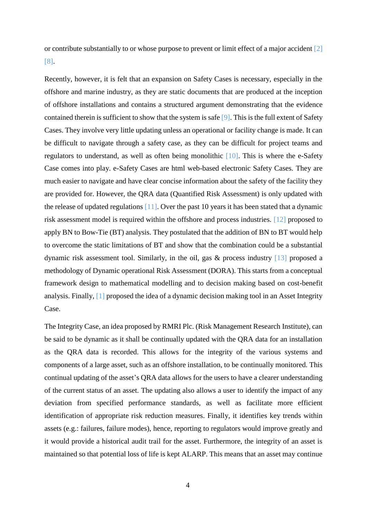or contribute substantially to or whose purpose to prevent or limit effect of a major accident [2] [8].

Recently, however, it is felt that an expansion on Safety Cases is necessary, especially in the offshore and marine industry, as they are static documents that are produced at the inception of offshore installations and contains a structured argument demonstrating that the evidence contained therein is sufficient to show that the system is safe [9]. This is the full extent of Safety Cases. They involve very little updating unless an operational or facility change is made. It can be difficult to navigate through a safety case, as they can be difficult for project teams and regulators to understand, as well as often being monolithic [10]. This is where the e-Safety Case comes into play. e-Safety Cases are html web-based electronic Safety Cases. They are much easier to navigate and have clear concise information about the safety of the facility they are provided for. However, the QRA data (Quantified Risk Assessment) is only updated with the release of updated regulations  $[11]$ . Over the past 10 years it has been stated that a dynamic risk assessment model is required within the offshore and process industries. [12] proposed to apply BN to Bow-Tie (BT) analysis. They postulated that the addition of BN to BT would help to overcome the static limitations of BT and show that the combination could be a substantial dynamic risk assessment tool. Similarly, in the oil, gas  $\&$  process industry [13] proposed a methodology of Dynamic operational Risk Assessment (DORA). This starts from a conceptual framework design to mathematical modelling and to decision making based on cost-benefit analysis. Finally, [1] proposed the idea of a dynamic decision making tool in an Asset Integrity Case.

The Integrity Case, an idea proposed by RMRI Plc. (Risk Management Research Institute), can be said to be dynamic as it shall be continually updated with the QRA data for an installation as the QRA data is recorded. This allows for the integrity of the various systems and components of a large asset, such as an offshore installation, to be continually monitored. This continual updating of the asset's QRA data allows for the users to have a clearer understanding of the current status of an asset. The updating also allows a user to identify the impact of any deviation from specified performance standards, as well as facilitate more efficient identification of appropriate risk reduction measures. Finally, it identifies key trends within assets (e.g.: failures, failure modes), hence, reporting to regulators would improve greatly and it would provide a historical audit trail for the asset. Furthermore, the integrity of an asset is maintained so that potential loss of life is kept ALARP. This means that an asset may continue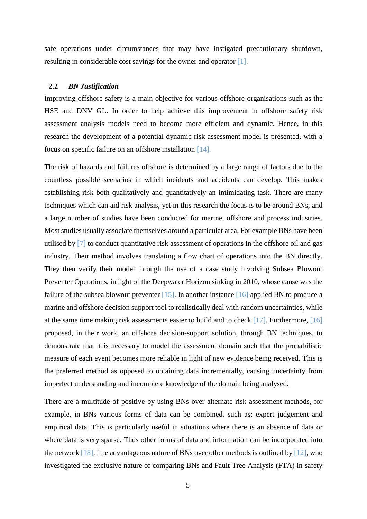safe operations under circumstances that may have instigated precautionary shutdown, resulting in considerable cost savings for the owner and operator [1].

# **2.2** *BN Justification*

Improving offshore safety is a main objective for various offshore organisations such as the HSE and DNV GL. In order to help achieve this improvement in offshore safety risk assessment analysis models need to become more efficient and dynamic. Hence, in this research the development of a potential dynamic risk assessment model is presented, with a focus on specific failure on an offshore installation [14].

The risk of hazards and failures offshore is determined by a large range of factors due to the countless possible scenarios in which incidents and accidents can develop. This makes establishing risk both qualitatively and quantitatively an intimidating task. There are many techniques which can aid risk analysis, yet in this research the focus is to be around BNs, and a large number of studies have been conducted for marine, offshore and process industries. Most studies usually associate themselves around a particular area. For example BNs have been utilised by [7] to conduct quantitative risk assessment of operations in the offshore oil and gas industry. Their method involves translating a flow chart of operations into the BN directly. They then verify their model through the use of a case study involving Subsea Blowout Preventer Operations, in light of the Deepwater Horizon sinking in 2010, whose cause was the failure of the subsea blowout preventer [15]. In another instance [16] applied BN to produce a marine and offshore decision support tool to realistically deal with random uncertainties, while at the same time making risk assessments easier to build and to check [17]. Furthermore, [16] proposed, in their work, an offshore decision-support solution, through BN techniques, to demonstrate that it is necessary to model the assessment domain such that the probabilistic measure of each event becomes more reliable in light of new evidence being received. This is the preferred method as opposed to obtaining data incrementally, causing uncertainty from imperfect understanding and incomplete knowledge of the domain being analysed.

There are a multitude of positive by using BNs over alternate risk assessment methods, for example, in BNs various forms of data can be combined, such as; expert judgement and empirical data. This is particularly useful in situations where there is an absence of data or where data is very sparse. Thus other forms of data and information can be incorporated into the network  $[18]$ . The advantageous nature of BNs over other methods is outlined by  $[12]$ , who investigated the exclusive nature of comparing BNs and Fault Tree Analysis (FTA) in safety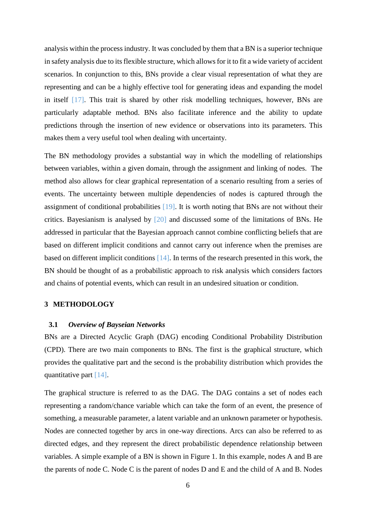analysis within the process industry. It was concluded by them that a BN is a superior technique in safety analysis due to its flexible structure, which allows for it to fit a wide variety of accident scenarios. In conjunction to this, BNs provide a clear visual representation of what they are representing and can be a highly effective tool for generating ideas and expanding the model in itself [17]. This trait is shared by other risk modelling techniques, however, BNs are particularly adaptable method. BNs also facilitate inference and the ability to update predictions through the insertion of new evidence or observations into its parameters. This makes them a very useful tool when dealing with uncertainty.

The BN methodology provides a substantial way in which the modelling of relationships between variables, within a given domain, through the assignment and linking of nodes. The method also allows for clear graphical representation of a scenario resulting from a series of events. The uncertainty between multiple dependencies of nodes is captured through the assignment of conditional probabilities [19]. It is worth noting that BNs are not without their critics. Bayesianism is analysed by [20] and discussed some of the limitations of BNs. He addressed in particular that the Bayesian approach cannot combine conflicting beliefs that are based on different implicit conditions and cannot carry out inference when the premises are based on different implicit conditions [14]. In terms of the research presented in this work, the BN should be thought of as a probabilistic approach to risk analysis which considers factors and chains of potential events, which can result in an undesired situation or condition.

#### **3 METHODOLOGY**

#### **3.1** *Overview of Bayseian Networks*

BNs are a Directed Acyclic Graph (DAG) encoding Conditional Probability Distribution (CPD). There are two main components to BNs. The first is the graphical structure, which provides the qualitative part and the second is the probability distribution which provides the quantitative part [14].

The graphical structure is referred to as the DAG. The DAG contains a set of nodes each representing a random/chance variable which can take the form of an event, the presence of something, a measurable parameter, a latent variable and an unknown parameter or hypothesis. Nodes are connected together by arcs in one-way directions. Arcs can also be referred to as directed edges, and they represent the direct probabilistic dependence relationship between variables. A simple example of a BN is shown in Figure 1. In this example, nodes A and B are the parents of node C. Node C is the parent of nodes D and E and the child of A and B. Nodes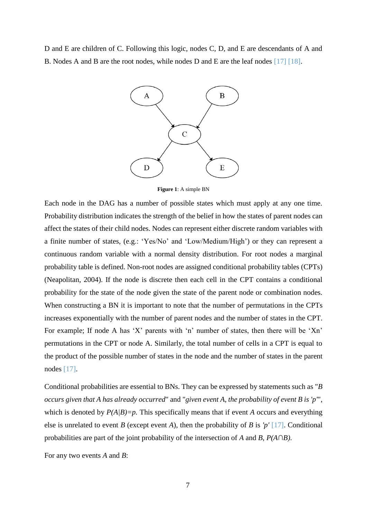D and E are children of C. Following this logic, nodes C, D, and E are descendants of A and B. Nodes A and B are the root nodes, while nodes D and E are the leaf nodes [17] [18].



**Figure 1**: A simple BN

Each node in the DAG has a number of possible states which must apply at any one time. Probability distribution indicates the strength of the belief in how the states of parent nodes can affect the states of their child nodes. Nodes can represent either discrete random variables with a finite number of states, (e.g.: 'Yes/No' and 'Low/Medium/High') or they can represent a continuous random variable with a normal density distribution. For root nodes a marginal probability table is defined. Non-root nodes are assigned conditional probability tables (CPTs) (Neapolitan, 2004). If the node is discrete then each cell in the CPT contains a conditional probability for the state of the node given the state of the parent node or combination nodes. When constructing a BN it is important to note that the number of permutations in the CPTs increases exponentially with the number of parent nodes and the number of states in the CPT. For example; If node A has 'X' parents with 'n' number of states, then there will be 'Xn' permutations in the CPT or node A. Similarly, the total number of cells in a CPT is equal to the product of the possible number of states in the node and the number of states in the parent nodes [17].

Conditional probabilities are essential to BNs. They can be expressed by statements such as "*B occurs given that A has already occurred*" and "*given event A, the probability of event B is 'p'*", which is denoted by  $P(A/B)=p$ . This specifically means that if event *A* occurs and everything else is unrelated to event *B* (except event *A*), then the probability of *B* is *'p'* [17]. Conditional probabilities are part of the joint probability of the intersection of *A* and *B*, *P(A∩B)*.

For any two events *A* and *B*: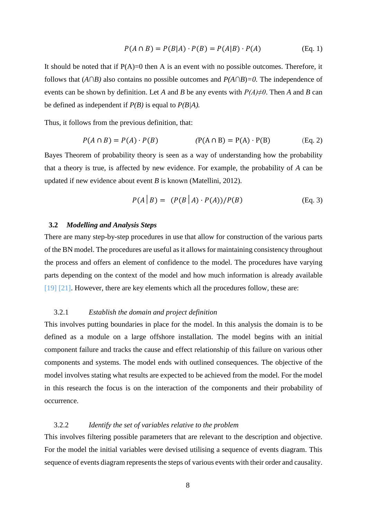$$
P(A \cap B) = P(B|A) \cdot P(B) = P(A|B) \cdot P(A) \tag{Eq. 1}
$$

It should be noted that if  $P(A)=0$  then A is an event with no possible outcomes. Therefore, it follows that (*A∩B)* also contains no possible outcomes and *P(A∩B*)*=0.* The independence of events can be shown by definition. Let *A* and *B* be any events with *P(A)≠0*. Then *A* and *B* can be defined as independent if *P(B)* is equal to *P(B|A).*

Thus, it follows from the previous definition, that:

$$
P(A \cap B) = P(A) \cdot P(B) \qquad (P(A \cap B) = P(A) \cdot P(B) \qquad (Eq. 2)
$$

Bayes Theorem of probability theory is seen as a way of understanding how the probability that a theory is true, is affected by new evidence. For example, the probability of *A* can be updated if new evidence about event *B* is known (Matellini, 2012).

$$
P(A \mid B) = (P(B \mid A) \cdot P(A))/P(B) \tag{Eq. 3}
$$

#### **3.2** *Modelling and Analysis Steps*

There are many step-by-step procedures in use that allow for construction of the various parts of the BN model. The procedures are useful as it allows for maintaining consistency throughout the process and offers an element of confidence to the model. The procedures have varying parts depending on the context of the model and how much information is already available [19] [21]. However, there are key elements which all the procedures follow, these are:

#### 3.2.1 *Establish the domain and project definition*

This involves putting boundaries in place for the model. In this analysis the domain is to be defined as a module on a large offshore installation. The model begins with an initial component failure and tracks the cause and effect relationship of this failure on various other components and systems. The model ends with outlined consequences. The objective of the model involves stating what results are expected to be achieved from the model. For the model in this research the focus is on the interaction of the components and their probability of occurrence.

# 3.2.2 *Identify the set of variables relative to the problem*

This involves filtering possible parameters that are relevant to the description and objective. For the model the initial variables were devised utilising a sequence of events diagram. This sequence of events diagram represents the steps of various events with their order and causality.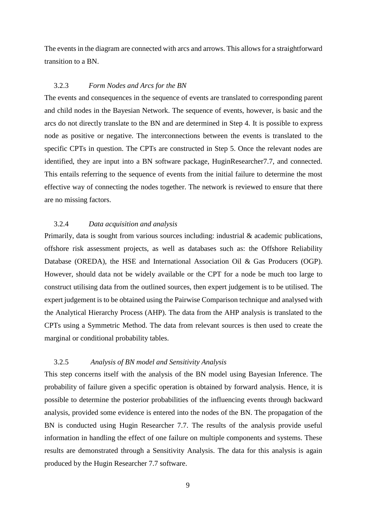The events in the diagram are connected with arcs and arrows. This allows for a straightforward transition to a BN.

# 3.2.3 *Form Nodes and Arcs for the BN*

The events and consequences in the sequence of events are translated to corresponding parent and child nodes in the Bayesian Network. The sequence of events, however, is basic and the arcs do not directly translate to the BN and are determined in Step 4. It is possible to express node as positive or negative. The interconnections between the events is translated to the specific CPTs in question. The CPTs are constructed in Step 5. Once the relevant nodes are identified, they are input into a BN software package, HuginResearcher7.7, and connected. This entails referring to the sequence of events from the initial failure to determine the most effective way of connecting the nodes together. The network is reviewed to ensure that there are no missing factors.

# 3.2.4 *Data acquisition and analysis*

Primarily, data is sought from various sources including: industrial & academic publications, offshore risk assessment projects, as well as databases such as: the Offshore Reliability Database (OREDA), the HSE and International Association Oil & Gas Producers (OGP). However, should data not be widely available or the CPT for a node be much too large to construct utilising data from the outlined sources, then expert judgement is to be utilised. The expert judgement is to be obtained using the Pairwise Comparison technique and analysed with the Analytical Hierarchy Process (AHP). The data from the AHP analysis is translated to the CPTs using a Symmetric Method. The data from relevant sources is then used to create the marginal or conditional probability tables.

# 3.2.5 *Analysis of BN model and Sensitivity Analysis*

This step concerns itself with the analysis of the BN model using Bayesian Inference. The probability of failure given a specific operation is obtained by forward analysis. Hence, it is possible to determine the posterior probabilities of the influencing events through backward analysis, provided some evidence is entered into the nodes of the BN. The propagation of the BN is conducted using Hugin Researcher 7.7. The results of the analysis provide useful information in handling the effect of one failure on multiple components and systems. These results are demonstrated through a Sensitivity Analysis. The data for this analysis is again produced by the Hugin Researcher 7.7 software.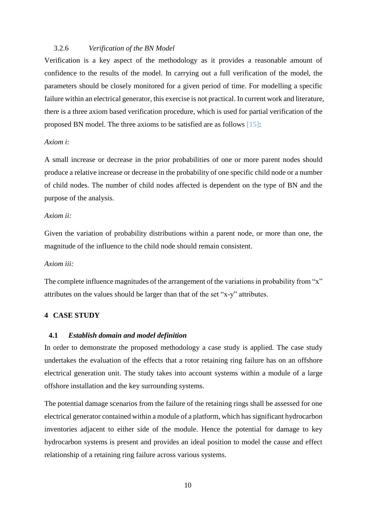# 3.2.6 *Verification of the BN Model*

Verification is a key aspect of the methodology as it provides a reasonable amount of confidence to the results of the model. In carrying out a full verification of the model, the parameters should be closely monitored for a given period of time. For modelling a specific failure within an electrical generator, this exercise is not practical. In current work and literature, there is a three axiom based verification procedure, which is used for partial verification of the proposed BN model. The three axioms to be satisfied are as follows [15]:

## *Axiom i*:

A small increase or decrease in the prior probabilities of one or more parent nodes should produce a relative increase or decrease in the probability of one specific child node or a number of child nodes. The number of child nodes affected is dependent on the type of BN and the purpose of the analysis.

# *Axiom ii:*

Given the variation of probability distributions within a parent node, or more than one, the magnitude of the influence to the child node should remain consistent.

# *Axiom iii:*

The complete influence magnitudes of the arrangement of the variations in probability from "x" attributes on the values should be larger than that of the set "x-y" attributes.

### **4 CASE STUDY**

# **4.1** *Establish domain and model definition*

In order to demonstrate the proposed methodology a case study is applied. The case study undertakes the evaluation of the effects that a rotor retaining ring failure has on an offshore electrical generation unit. The study takes into account systems within a module of a large offshore installation and the key surrounding systems.

The potential damage scenarios from the failure of the retaining rings shall be assessed for one electrical generator contained within a module of a platform, which has significant hydrocarbon inventories adjacent to either side of the module. Hence the potential for damage to key hydrocarbon systems is present and provides an ideal position to model the cause and effect relationship of a retaining ring failure across various systems.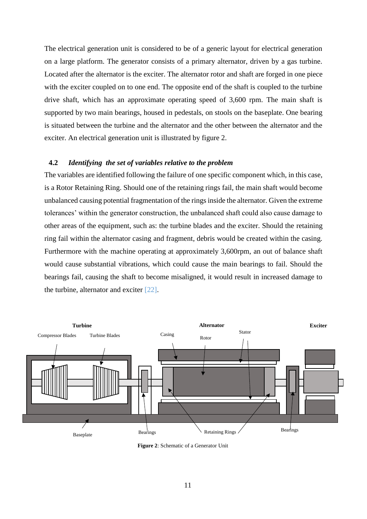The electrical generation unit is considered to be of a generic layout for electrical generation on a large platform. The generator consists of a primary alternator, driven by a gas turbine. Located after the alternator is the exciter. The alternator rotor and shaft are forged in one piece with the exciter coupled on to one end. The opposite end of the shaft is coupled to the turbine drive shaft, which has an approximate operating speed of 3,600 rpm. The main shaft is supported by two main bearings, housed in pedestals, on stools on the baseplate. One bearing is situated between the turbine and the alternator and the other between the alternator and the exciter. An electrical generation unit is illustrated by figure 2.

# **4.2** *Identifying the set of variables relative to the problem*

The variables are identified following the failure of one specific component which, in this case, is a Rotor Retaining Ring. Should one of the retaining rings fail, the main shaft would become unbalanced causing potential fragmentation of the rings inside the alternator. Given the extreme tolerances' within the generator construction, the unbalanced shaft could also cause damage to other areas of the equipment, such as: the turbine blades and the exciter. Should the retaining ring fail within the alternator casing and fragment, debris would be created within the casing. Furthermore with the machine operating at approximately 3,600rpm, an out of balance shaft would cause substantial vibrations, which could cause the main bearings to fail. Should the bearings fail, causing the shaft to become misaligned, it would result in increased damage to the turbine, alternator and exciter [22].



**Figure 2**: Schematic of a Generator Unit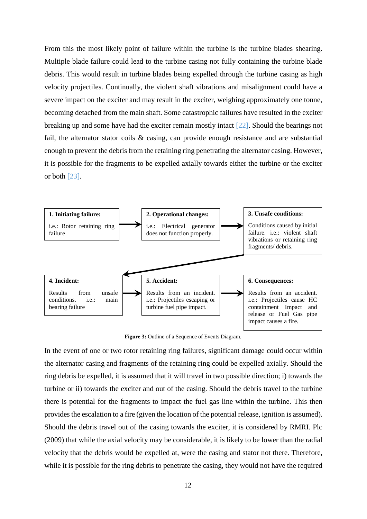From this the most likely point of failure within the turbine is the turbine blades shearing. Multiple blade failure could lead to the turbine casing not fully containing the turbine blade debris. This would result in turbine blades being expelled through the turbine casing as high velocity projectiles. Continually, the violent shaft vibrations and misalignment could have a severe impact on the exciter and may result in the exciter, weighing approximately one tonne, becoming detached from the main shaft. Some catastrophic failures have resulted in the exciter breaking up and some have had the exciter remain mostly intact [22]. Should the bearings not fail, the alternator stator coils & casing, can provide enough resistance and are substantial enough to prevent the debris from the retaining ring penetrating the alternator casing. However, it is possible for the fragments to be expelled axially towards either the turbine or the exciter or both [23].



**Figure 3:** Outline of a Sequence of Events Diagram.

In the event of one or two rotor retaining ring failures, significant damage could occur within the alternator casing and fragments of the retaining ring could be expelled axially. Should the ring debris be expelled, it is assumed that it will travel in two possible direction; i) towards the turbine or ii) towards the exciter and out of the casing. Should the debris travel to the turbine there is potential for the fragments to impact the fuel gas line within the turbine. This then provides the escalation to a fire (given the location of the potential release, ignition is assumed). Should the debris travel out of the casing towards the exciter, it is considered by RMRI. Plc (2009) that while the axial velocity may be considerable, it is likely to be lower than the radial velocity that the debris would be expelled at, were the casing and stator not there. Therefore, while it is possible for the ring debris to penetrate the casing, they would not have the required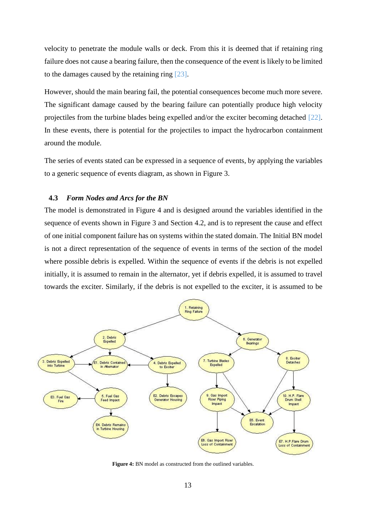velocity to penetrate the module walls or deck. From this it is deemed that if retaining ring failure does not cause a bearing failure, then the consequence of the event is likely to be limited to the damages caused by the retaining ring [23].

However, should the main bearing fail, the potential consequences become much more severe. The significant damage caused by the bearing failure can potentially produce high velocity projectiles from the turbine blades being expelled and/or the exciter becoming detached [22]. In these events, there is potential for the projectiles to impact the hydrocarbon containment around the module.

The series of events stated can be expressed in a sequence of events, by applying the variables to a generic sequence of events diagram, as shown in Figure 3.

## **4.3** *Form Nodes and Arcs for the BN*

The model is demonstrated in Figure 4 and is designed around the variables identified in the sequence of events shown in Figure 3 and Section 4.2, and is to represent the cause and effect of one initial component failure has on systems within the stated domain. The Initial BN model is not a direct representation of the sequence of events in terms of the section of the model where possible debris is expelled. Within the sequence of events if the debris is not expelled initially, it is assumed to remain in the alternator, yet if debris expelled, it is assumed to travel towards the exciter. Similarly, if the debris is not expelled to the exciter, it is assumed to be



**Figure 4:** BN model as constructed from the outlined variables.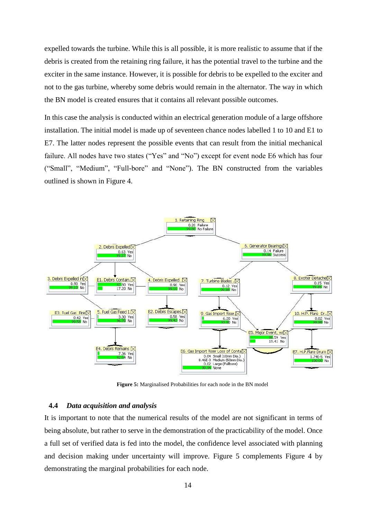expelled towards the turbine. While this is all possible, it is more realistic to assume that if the debris is created from the retaining ring failure, it has the potential travel to the turbine and the exciter in the same instance. However, it is possible for debris to be expelled to the exciter and not to the gas turbine, whereby some debris would remain in the alternator. The way in which the BN model is created ensures that it contains all relevant possible outcomes.

In this case the analysis is conducted within an electrical generation module of a large offshore installation. The initial model is made up of seventeen chance nodes labelled 1 to 10 and E1 to E7. The latter nodes represent the possible events that can result from the initial mechanical failure. All nodes have two states ("Yes" and "No") except for event node E6 which has four ("Small", "Medium", "Full-bore" and "None"). The BN constructed from the variables outlined is shown in Figure 4.



**Figure 5:** Marginalised Probabilities for each node in the BN model

#### **4.4** *Data acquisition and analysis*

It is important to note that the numerical results of the model are not significant in terms of being absolute, but rather to serve in the demonstration of the practicability of the model. Once a full set of verified data is fed into the model, the confidence level associated with planning and decision making under uncertainty will improve. Figure 5 complements Figure 4 by demonstrating the marginal probabilities for each node.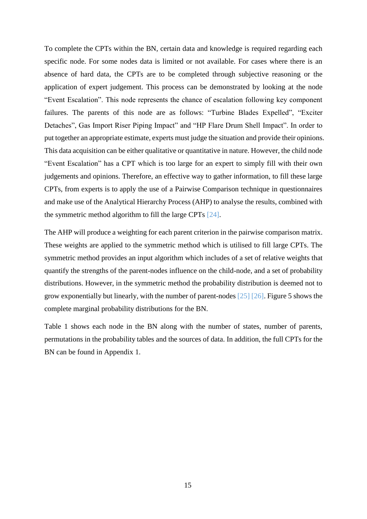To complete the CPTs within the BN, certain data and knowledge is required regarding each specific node. For some nodes data is limited or not available. For cases where there is an absence of hard data, the CPTs are to be completed through subjective reasoning or the application of expert judgement. This process can be demonstrated by looking at the node "Event Escalation". This node represents the chance of escalation following key component failures. The parents of this node are as follows: "Turbine Blades Expelled", "Exciter Detaches", Gas Import Riser Piping Impact" and "HP Flare Drum Shell Impact". In order to put together an appropriate estimate, experts must judge the situation and provide their opinions. This data acquisition can be either qualitative or quantitative in nature. However, the child node "Event Escalation" has a CPT which is too large for an expert to simply fill with their own judgements and opinions. Therefore, an effective way to gather information, to fill these large CPTs, from experts is to apply the use of a Pairwise Comparison technique in questionnaires and make use of the Analytical Hierarchy Process (AHP) to analyse the results, combined with the symmetric method algorithm to fill the large CPTs [24].

The AHP will produce a weighting for each parent criterion in the pairwise comparison matrix. These weights are applied to the symmetric method which is utilised to fill large CPTs. The symmetric method provides an input algorithm which includes of a set of relative weights that quantify the strengths of the parent-nodes influence on the child-node, and a set of probability distributions. However, in the symmetric method the probability distribution is deemed not to grow exponentially but linearly, with the number of parent-nodes [25] [26]. Figure 5 shows the complete marginal probability distributions for the BN.

Table 1 shows each node in the BN along with the number of states, number of parents, permutations in the probability tables and the sources of data. In addition, the full CPTs for the BN can be found in Appendix 1.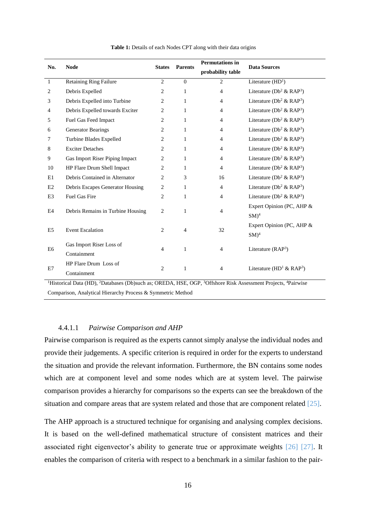| No.              | <b>Node</b>                             | <b>States</b>  | <b>Parents</b> | <b>Permutations in</b><br>probability table | <b>Data Sources</b>                     |
|------------------|-----------------------------------------|----------------|----------------|---------------------------------------------|-----------------------------------------|
| $\mathbf{1}$     | <b>Retaining Ring Failure</b>           | $\overline{2}$ | $\Omega$       | $\overline{2}$                              | Literature $(HD1)$                      |
| $\boldsymbol{2}$ | Debris Expelled                         | $\overline{c}$ | $\mathbf{1}$   | $\overline{4}$                              | Literature ( $Db^2 \& RAP^3$ )          |
| 3                | Debris Expelled into Turbine            | 2              | 1              | $\overline{4}$                              | Literature ( $Db^2 \& RAP^3$ )          |
| 4                | Debris Expelled towards Exciter         | $\overline{c}$ | $\mathbf{1}$   | 4                                           | Literature ( $Db^2 \& RAP^3$ )          |
| 5                | Fuel Gas Feed Impact                    | 2              | 1              | $\overline{4}$                              | Literature ( $Db^2 \& RAP^3$ )          |
| 6                | <b>Generator Bearings</b>               | 2              | $\mathbf{1}$   | $\overline{4}$                              | Literature ( $Db^2 \& RAP^3$ )          |
| 7                | Turbine Blades Expelled                 | 2              | $\mathbf{1}$   | $\overline{4}$                              | Literature ( $Db^2 \& RAP^3$ )          |
| 8                | <b>Exciter Detaches</b>                 | $\overline{c}$ | $\mathbf{1}$   | $\overline{4}$                              | Literature ( $Db^2 \& RAP^3$ )          |
| 9                | Gas Import Riser Piping Impact          | 2              | $\mathbf{1}$   | $\overline{4}$                              | Literature ( $Db^2 \& RAP^3$ )          |
| 10               | HP Flare Drum Shell Impact              | 2              | 1              | $\overline{4}$                              | Literature ( $Db^2 \& RAP^3$ )          |
| E1               | Debris Contained in Alternator          | $\overline{2}$ | 3              | 16                                          | Literature ( $Db^2 \& RAP^3$ )          |
| E2               | Debris Escapes Generator Housing        | 2              | $\mathbf{1}$   | $\overline{4}$                              | Literature ( $Db^2 \& RAP^3$ )          |
| E <sub>3</sub>   | <b>Fuel Gas Fire</b>                    | $\overline{c}$ | 1              | $\overline{4}$                              | Literature ( $Db^2 \& RAP^3$ )          |
| E4               | Debris Remains in Turbine Housing       | $\overline{c}$ | $\mathbf{1}$   | $\overline{4}$                              | Expert Opinion (PC, AHP &<br>$SM)^4$    |
| E <sub>5</sub>   | <b>Event Escalation</b>                 | 2              | $\overline{4}$ | 32                                          | Expert Opinion (PC, AHP &<br>$SM)^4$    |
| E <sub>6</sub>   | Gas Import Riser Loss of<br>Containment | $\overline{4}$ | 1              | $\overline{4}$                              | Literature $(RAP3)$                     |
| E7               | HP Flare Drum Loss of<br>Containment    | $\overline{c}$ | 1              | $\overline{4}$                              | Literature ( $HD1$ & RAP <sup>3</sup> ) |

**Table 1:** Details of each Nodes CPT along with their data origins

<sup>1</sup>Historical Data (HD), <sup>2</sup>Databases (Db)such as; OREDA, HSE, OGP, <sup>3</sup>Offshore Risk Assessment Projects, <sup>4</sup>Pairwise Comparison, Analytical Hierarchy Process & Symmetric Method

# 4.4.1.1 *Pairwise Comparison and AHP*

Pairwise comparison is required as the experts cannot simply analyse the individual nodes and provide their judgements. A specific criterion is required in order for the experts to understand the situation and provide the relevant information. Furthermore, the BN contains some nodes which are at component level and some nodes which are at system level. The pairwise comparison provides a hierarchy for comparisons so the experts can see the breakdown of the situation and compare areas that are system related and those that are component related [25].

The AHP approach is a structured technique for organising and analysing complex decisions. It is based on the well-defined mathematical structure of consistent matrices and their associated right eigenvector's ability to generate true or approximate weights [26] [27]. It enables the comparison of criteria with respect to a benchmark in a similar fashion to the pair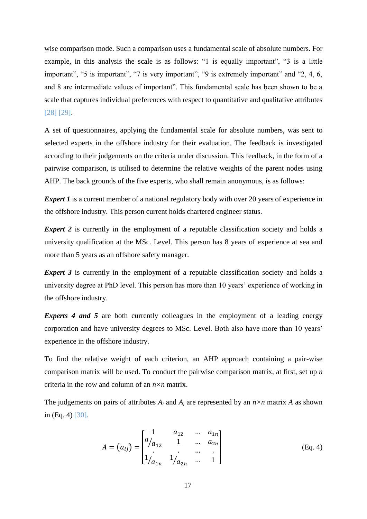wise comparison mode. Such a comparison uses a fundamental scale of absolute numbers. For example, in this analysis the scale is as follows: "1 is equally important", "3 is a little important", "5 is important", "7 is very important", "9 is extremely important" and "2, 4, 6, and 8 are intermediate values of important". This fundamental scale has been shown to be a scale that captures individual preferences with respect to quantitative and qualitative attributes [28] [29].

A set of questionnaires, applying the fundamental scale for absolute numbers, was sent to selected experts in the offshore industry for their evaluation. The feedback is investigated according to their judgements on the criteria under discussion. This feedback, in the form of a pairwise comparison, is utilised to determine the relative weights of the parent nodes using AHP. The back grounds of the five experts, who shall remain anonymous, is as follows:

*Expert 1* is a current member of a national regulatory body with over 20 years of experience in the offshore industry. This person current holds chartered engineer status.

*Expert 2* is currently in the employment of a reputable classification society and holds a university qualification at the MSc. Level. This person has 8 years of experience at sea and more than 5 years as an offshore safety manager.

*Expert 3* is currently in the employment of a reputable classification society and holds a university degree at PhD level. This person has more than 10 years' experience of working in the offshore industry.

**Experts 4 and 5** are both currently colleagues in the employment of a leading energy corporation and have university degrees to MSc. Level. Both also have more than 10 years' experience in the offshore industry.

To find the relative weight of each criterion, an AHP approach containing a pair-wise comparison matrix will be used. To conduct the pairwise comparison matrix, at first, set up *n* criteria in the row and column of an *n×n* matrix.

The judgements on pairs of attributes  $A_i$  and  $A_j$  are represented by an  $n \times n$  matrix A as shown in (Eq. 4) [30].

$$
A = (a_{ij}) = \begin{bmatrix} 1 & a_{12} & \dots & a_{1n} \\ a/a_{12} & 1 & \dots & a_{2n} \\ \vdots & \vdots & \ddots & \vdots \\ 1/a_{1n} & 1/a_{2n} & \dots & 1 \end{bmatrix}
$$
 (Eq. 4)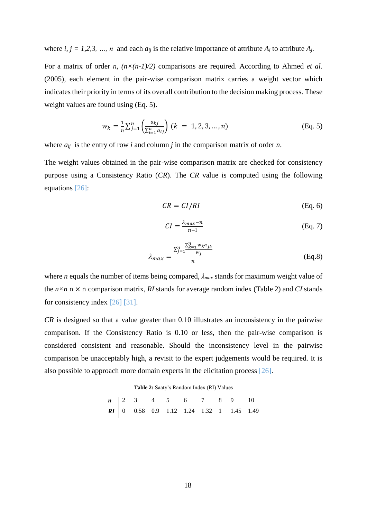where  $i, j = 1,2,3, ..., n$  and each  $a_{ij}$  is the relative importance of attribute  $A_i$  to attribute  $A_j$ .

For a matrix of order *n*,  $(n \times (n-1)/2)$  comparisons are required. According to Ahmed *et al.* (2005), each element in the pair-wise comparison matrix carries a weight vector which indicates their priority in terms of its overall contribution to the decision making process. These weight values are found using (Eq. 5).

$$
w_k = \frac{1}{n} \sum_{j=1}^n \left( \frac{a_{kj}}{\sum_{i=1}^n a_{ij}} \right) (k = 1, 2, 3, ..., n)
$$
 (Eq. 5)

where  $a_{ij}$  is the entry of row *i* and column *j* in the comparison matrix of order *n*.

The weight values obtained in the pair-wise comparison matrix are checked for consistency purpose using a Consistency Ratio (*CR*). The *CR* value is computed using the following equations [26]:

$$
CR = CI/RI
$$
 (Eq. 6)

$$
CI = \frac{\lambda_{max} - n}{n - 1}
$$
 (Eq. 7)

$$
\lambda_{max} = \frac{\sum_{j=1}^{n} \frac{\sum_{k=1}^{n} w_k a_{jk}}{w_j}}{n}
$$
 (Eq.8)

where *n* equals the number of items being compared, *λmax* stands for maximum weight value of the  $n \times n$  n  $\times$  n comparison matrix, *RI* stands for average random index (Table 2) and *CI* stands for consistency index [26] [31].

*CR* is designed so that a value greater than 0.10 illustrates an inconsistency in the pairwise comparison. If the Consistency Ratio is 0.10 or less, then the pair-wise comparison is considered consistent and reasonable. Should the inconsistency level in the pairwise comparison be unacceptably high, a revisit to the expert judgements would be required. It is also possible to approach more domain experts in the elicitation process [26].

**Table 2:** Saaty's Random Index (RI) Values

|  |  |  |  | $\begin{vmatrix} n & 2 & 3 & 4 & 5 & 6 & 7 & 8 & 9 & 10 \\ Rl & 0 & 0.58 & 0.9 & 1.12 & 1.24 & 1.32 & 1 & 1.45 & 1.49 \end{vmatrix}$ |  |
|--|--|--|--|--------------------------------------------------------------------------------------------------------------------------------------|--|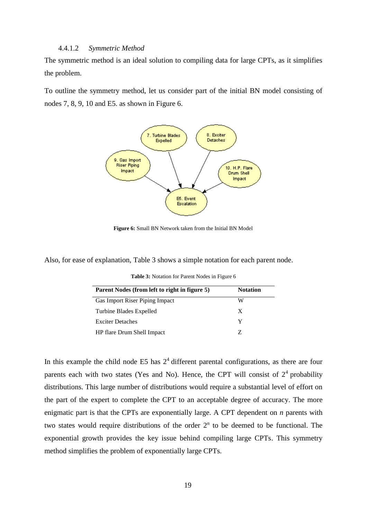#### 4.4.1.2 *Symmetric Method*

The symmetric method is an ideal solution to compiling data for large CPTs, as it simplifies the problem.

To outline the symmetry method, let us consider part of the initial BN model consisting of nodes 7, 8, 9, 10 and E5. as shown in Figure 6.



**Figure 6:** Small BN Network taken from the Initial BN Model

Also, for ease of explanation, Table 3 shows a simple notation for each parent node.

**Table 3:** Notation for Parent Nodes in Figure 6

| Parent Nodes (from left to right in figure 5) | <b>Notation</b> |
|-----------------------------------------------|-----------------|
| Gas Import Riser Piping Impact                | W               |
| Turbine Blades Expelled                       | X               |
| <b>Exciter Detaches</b>                       | v               |
| HP flare Drum Shell Impact                    |                 |

In this example the child node  $E_5$  has  $2<sup>4</sup>$  different parental configurations, as there are four parents each with two states (Yes and No). Hence, the CPT will consist of  $2<sup>4</sup>$  probability distributions. This large number of distributions would require a substantial level of effort on the part of the expert to complete the CPT to an acceptable degree of accuracy. The more enigmatic part is that the CPTs are exponentially large. A CPT dependent on *n* parents with two states would require distributions of the order  $2<sup>n</sup>$  to be deemed to be functional. The exponential growth provides the key issue behind compiling large CPTs. This symmetry method simplifies the problem of exponentially large CPTs.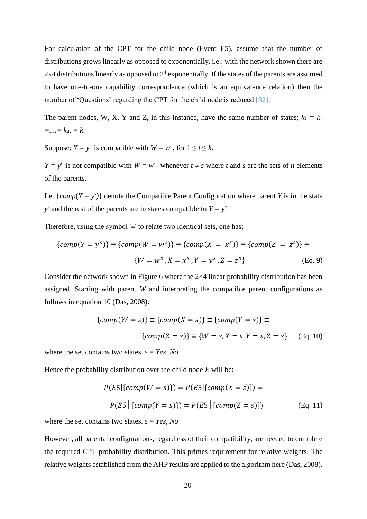For calculation of the CPT for the child node (Event E5), assume that the number of distributions grows linearly as opposed to exponentially. i.e.: with the network shown there are 2x4 distributions linearly as opposed to  $2<sup>4</sup>$  exponentially. If the states of the parents are assumed to have one-to-one capability correspondence (which is an equivalence relation) then the number of 'Ouestions' regarding the CPT for the child node is reduced [32].

The parent nodes, W, X, Y and Z, in this instance, have the same number of states;  $k_1 = k_2$ *=....= k4, = k*.

Suppose:  $Y = y^t$  is compatible with  $W = w^t$ , for  $1 \le t \le k$ .

*Y* =  $y^t$  is not compatible with  $W = w^s$  whenever  $t \neq s$  where *t* and *s* are the sets of *n* elements of the parents.

Let  $\{comp(Y = y^s)\}\)$  denote the Compatible Parent Configuration where parent *Y* is in the state  $y<sup>s</sup>$  and the rest of the parents are in states compatible to  $Y = y<sup>s</sup>$ 

Therefore, using the symbol  $\equiv$ ' to relate two identical sets, one has:

$$
\{comp(Y = y^s)\} \equiv \{comp(W = w^s)\} \equiv \{comp(X = x^s)\} \equiv \{comp(Z = z^s)\} \equiv
$$

$$
\{W = w^s, X = x^s, Y = y^s, Z = z^s\}
$$
(Eq. 9)

Consider the network shown in Figure 6 where the 2×4 linear probability distribution has been assigned. Starting with parent *W* and interpreting the compatible parent configurations as follows in equation 10 (Das, 2008):

$$
\{comp(W = s)\} \equiv \{comp(X = s)\} \equiv \{comp(Y = s)\} \equiv
$$

$$
\{comp(Z = s)\} \equiv \{W = s, X = s, Y = s, Z = s\} \quad \text{(Eq. 10)}
$$

where the set contains two states. *s* = *Yes, No*

Hence the probability distribution over the child node *E* will be:

$$
P(E5|\{comp(W = s)\}) = P(E5|\{comp(X = s)\}) =
$$
  

$$
P(E5|\{comp(Y = s)\}) = P(E5|\{comp(Z = s)\})
$$
 (Eq. 11)

where the set contains two states. *s* = *Yes, No*

However, all parental configurations, regardless of their compatibility, are needed to complete the required CPT probability distribution. This primes requirement for relative weights. The relative weights established from the AHP results are applied to the algorithm here (Das, 2008).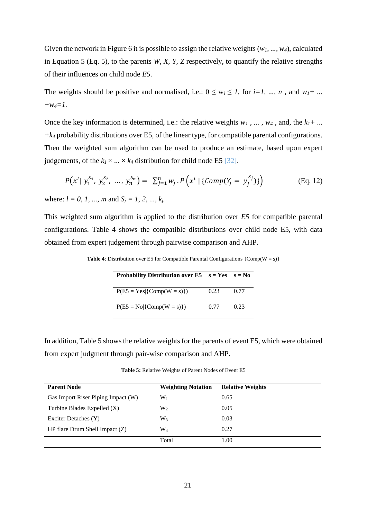Given the network in Figure 6 it is possible to assign the relative weights (*w1, ..., w4*), calculated in Equation 5 (Eq. 5), to the parents *W, X, Y, Z* respectively, to quantify the relative strengths of their influences on child node *E5*.

The weights should be positive and normalised, i.e.:  $0 \le w_i \le 1$ , for  $i=1, ..., n$ , and  $w_1 + ...$ *+w4=1.*

Once the key information is determined, i.e.: the relative weights  $w_1$ , ...,  $w_4$ , and, the  $k_1$ + ... *+k<sup>4</sup>* probability distributions over E5, of the linear type, for compatible parental configurations. Then the weighted sum algorithm can be used to produce an estimate, based upon expert judgements, of the  $k_1 \times ... \times k_4$  distribution for child node E5 [32].

$$
P(x^{l} | y_1^{S_1}, y_2^{S_2}, \dots, y_n^{S_n}) = \sum_{j=1}^n w_j \cdot P(x^{l} | \{Comp(Y_j = y_j^{S_j})\})
$$
(Eq. 12)

where:  $l = 0, 1, ..., m$  and  $S_i = 1, 2, ..., k_i$ .

This weighted sum algorithm is applied to the distribution over *E5* for compatible parental configurations. Table 4 shows the compatible distributions over child node E5, with data obtained from expert judgement through pairwise comparison and AHP.

**Table 4**: Distribution over E5 for Compatible Parental Configurations  $\{Comp(W = s)\}\$ 

| Probability Distribution over E5 $s = Yes$ $s = No$ |      |      |
|-----------------------------------------------------|------|------|
| $P(E5 = Yes   {Comp(W = s)} )$                      | 0.23 | 0.77 |
| $P(E5 = No   {Comp(W = s)} )$                       | 0.77 | 0.23 |

In addition, Table 5 shows the relative weights for the parents of event E5, which were obtained from expert judgment through pair-wise comparison and AHP.

| Table 5: Relative Weights of Parent Nodes of Event E5 |  |
|-------------------------------------------------------|--|

| <b>Parent Node</b>                 | <b>Weighting Notation</b> | <b>Relative Weights</b> |
|------------------------------------|---------------------------|-------------------------|
| Gas Import Riser Piping Impact (W) | $W_1$                     | 0.65                    |
| Turbine Blades Expelled $(X)$      | $W_2$                     | 0.05                    |
| Exciter Detaches (Y)               | W <sub>3</sub>            | 0.03                    |
| HP flare Drum Shell Impact $(Z)$   | $\rm W_4$                 | 0.27                    |
|                                    | Total                     | 1.00                    |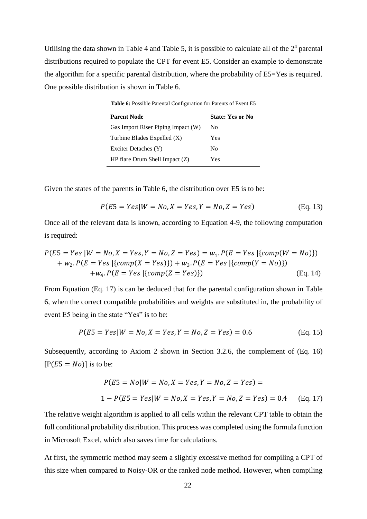Utilising the data shown in Table 4 and Table 5, it is possible to calculate all of the  $2<sup>4</sup>$  parental distributions required to populate the CPT for event E5. Consider an example to demonstrate the algorithm for a specific parental distribution, where the probability of E5=Yes is required. One possible distribution is shown in Table 6.

| <b>Parent Node</b>                 | <b>State: Yes or No</b> |
|------------------------------------|-------------------------|
| Gas Import Riser Piping Impact (W) | No                      |
| Turbine Blades Expelled (X)        | Yes                     |
| Exciter Detaches (Y)               | Nο                      |
| HP flare Drum Shell Impact $(Z)$   | Yes                     |
|                                    |                         |

**Table 6:** Possible Parental Configuration for Parents of Event E5

Given the states of the parents in Table 6, the distribution over E5 is to be:

$$
P(E5 = Yes|W = No, X = Yes, Y = No, Z = Yes)
$$
 (Eq. 13)

Once all of the relevant data is known, according to Equation 4-9, the following computation is required:

$$
P(E5 = Yes | W = No, X = Yes, Y = No, Z = Yes) = w_1.P(E = Yes | {comp(W = No)}+ w_2.P(E = Yes | {comp(X = Yes)} ) + w_3.P(E = Yes | {comp(Y = No)})+ w_4.P(E = Yes | {comp(Z = Yes)})
$$
(Eq. 14)

From Equation (Eq. 17) is can be deduced that for the parental configuration shown in Table 6, when the correct compatible probabilities and weights are substituted in, the probability of event E5 being in the state "Yes" is to be:

$$
P(E5 = Yes|W = No, X = Yes, Y = No, Z = Yes) = 0.6
$$
 (Eq. 15)

Subsequently, according to Axiom 2 shown in Section 3.2.6, the complement of (Eq. 16)  $[P(E5 = No)]$  is to be:

$$
P(E5 = No|W = No, X = Yes, Y = No, Z = Yes) =
$$
  
1 - P(E5 = Yes|W = No, X = Yes, Y = No, Z = Yes) = 0.4 (Eq. 17)

The relative weight algorithm is applied to all cells within the relevant CPT table to obtain the full conditional probability distribution. This process was completed using the formula function in Microsoft Excel, which also saves time for calculations.

At first, the symmetric method may seem a slightly excessive method for compiling a CPT of this size when compared to Noisy-OR or the ranked node method. However, when compiling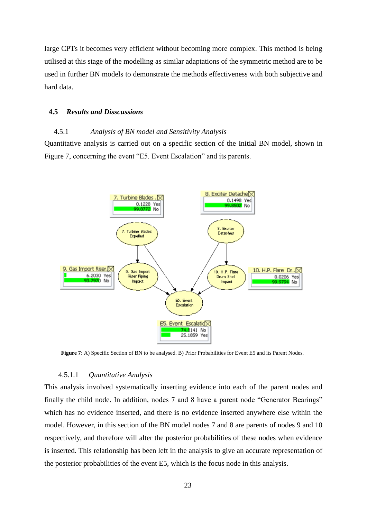large CPTs it becomes very efficient without becoming more complex. This method is being utilised at this stage of the modelling as similar adaptations of the symmetric method are to be used in further BN models to demonstrate the methods effectiveness with both subjective and hard data.

# **4.5** *Results and Disscussions*

# 4.5.1 *Analysis of BN model and Sensitivity Analysis*

Quantitative analysis is carried out on a specific section of the Initial BN model, shown in Figure 7, concerning the event "E5. Event Escalation" and its parents.



**Figure 7**: A) Specific Section of BN to be analysed. B) Prior Probabilities for Event E5 and its Parent Nodes.

## 4.5.1.1 *Quantitative Analysis*

This analysis involved systematically inserting evidence into each of the parent nodes and finally the child node. In addition, nodes 7 and 8 have a parent node "Generator Bearings" which has no evidence inserted, and there is no evidence inserted anywhere else within the model. However, in this section of the BN model nodes 7 and 8 are parents of nodes 9 and 10 respectively, and therefore will alter the posterior probabilities of these nodes when evidence is inserted. This relationship has been left in the analysis to give an accurate representation of the posterior probabilities of the event E5, which is the focus node in this analysis.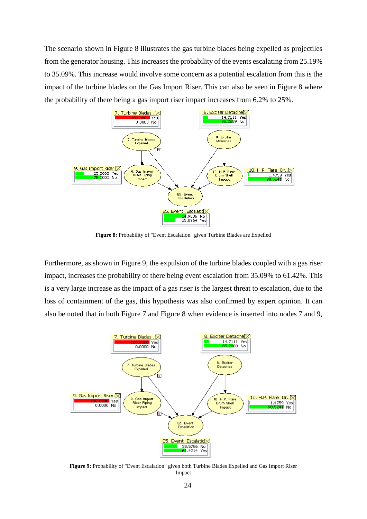The scenario shown in Figure 8 illustrates the gas turbine blades being expelled as projectiles from the generator housing. This increases the probability of the events escalating from 25.19% to 35.09%. This increase would involve some concern as a potential escalation from this is the impact of the turbine blades on the Gas Import Riser. This can also be seen in Figure 8 where the probability of there being a gas import riser impact increases from 6.2% to 25%.



**Figure 8:** Probability of "Event Escalation" given Turbine Blades are Expelled

Furthermore, as shown in Figure 9, the expulsion of the turbine blades coupled with a gas riser impact, increases the probability of there being event escalation from 35.09% to 61.42%. This is a very large increase as the impact of a gas riser is the largest threat to escalation, due to the loss of containment of the gas, this hypothesis was also confirmed by expert opinion. It can also be noted that in both Figure 7 and Figure 8 when evidence is inserted into nodes 7 and 9,



**Figure 9:** Probability of "Event Escalation" given both Turbine Blades Expelled and Gas Import Riser Impact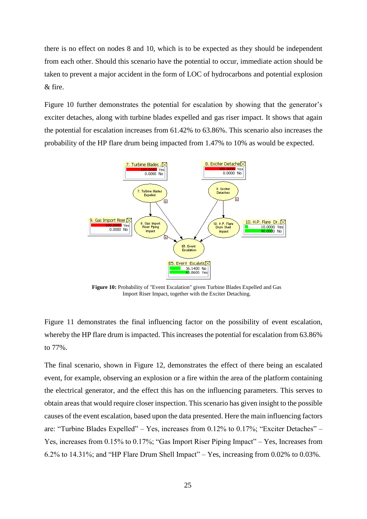there is no effect on nodes 8 and 10, which is to be expected as they should be independent from each other. Should this scenario have the potential to occur, immediate action should be taken to prevent a major accident in the form of LOC of hydrocarbons and potential explosion  $\&$  fire.

Figure 10 further demonstrates the potential for escalation by showing that the generator's exciter detaches, along with turbine blades expelled and gas riser impact. It shows that again the potential for escalation increases from 61.42% to 63.86%. This scenario also increases the probability of the HP flare drum being impacted from 1.47% to 10% as would be expected.



**Figure 10:** Probability of "Event Escalation" given Turbine Blades Expelled and Gas Import Riser Impact, together with the Exciter Detaching.

Figure 11 demonstrates the final influencing factor on the possibility of event escalation, whereby the HP flare drum is impacted. This increases the potential for escalation from 63.86% to 77%.

The final scenario, shown in Figure 12, demonstrates the effect of there being an escalated event, for example, observing an explosion or a fire within the area of the platform containing the electrical generator, and the effect this has on the influencing parameters. This serves to obtain areas that would require closer inspection. This scenario has given insight to the possible causes of the event escalation, based upon the data presented. Here the main influencing factors are: "Turbine Blades Expelled" – Yes, increases from 0.12% to 0.17%; "Exciter Detaches" – Yes, increases from 0.15% to 0.17%; "Gas Import Riser Piping Impact" – Yes, Increases from 6.2% to 14.31%; and "HP Flare Drum Shell Impact" – Yes, increasing from 0.02% to 0.03%.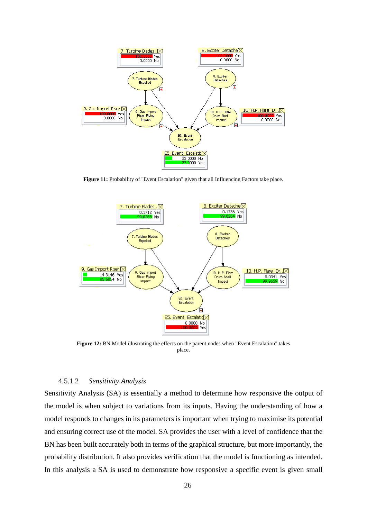

**Figure 11:** Probability of "Event Escalation" given that all Influencing Factors take place.



**Figure 12:** BN Model illustrating the effects on the parent nodes when "Event Escalation" takes place.

# 4.5.1.2 *Sensitivity Analysis*

Sensitivity Analysis (SA) is essentially a method to determine how responsive the output of the model is when subject to variations from its inputs. Having the understanding of how a model responds to changes in its parameters is important when trying to maximise its potential and ensuring correct use of the model. SA provides the user with a level of confidence that the BN has been built accurately both in terms of the graphical structure, but more importantly, the probability distribution. It also provides verification that the model is functioning as intended. In this analysis a SA is used to demonstrate how responsive a specific event is given small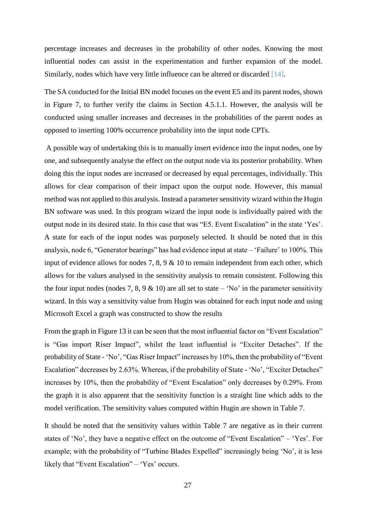percentage increases and decreases in the probability of other nodes. Knowing the most influential nodes can assist in the experimentation and further expansion of the model. Similarly, nodes which have very little influence can be altered or discarded [14].

The SA conducted for the Initial BN model focuses on the event E5 and its parent nodes, shown in Figure 7, to further verify the claims in Section 4.5.1.1. However, the analysis will be conducted using smaller increases and decreases in the probabilities of the parent nodes as opposed to inserting 100% occurrence probability into the input node CPTs.

A possible way of undertaking this is to manually insert evidence into the input nodes, one by one, and subsequently analyse the effect on the output node via its posterior probability. When doing this the input nodes are increased or decreased by equal percentages, individually. This allows for clear comparison of their impact upon the output node. However, this manual method was not applied to this analysis. Instead a parameter sensitivity wizard within the Hugin BN software was used. In this program wizard the input node is individually paired with the output node in its desired state. In this case that was "E5. Event Escalation" in the state 'Yes'. A state for each of the input nodes was purposely selected. It should be noted that in this analysis, node 6, "Generator bearings" has had evidence input at state – 'Failure' to 100%. This input of evidence allows for nodes 7, 8, 9  $\&$  10 to remain independent from each other, which allows for the values analysed in the sensitivity analysis to remain consistent. Following this the four input nodes (nodes 7, 8, 9  $\&$  10) are all set to state – 'No' in the parameter sensitivity wizard. In this way a sensitivity value from Hugin was obtained for each input node and using Microsoft Excel a graph was constructed to show the results

From the graph in Figure 13 it can be seen that the most influential factor on "Event Escalation" is "Gas import Riser Impact", whilst the least influential is "Exciter Detaches". If the probability of State - 'No', "Gas Riser Impact" increases by 10%, then the probability of "Event Escalation" decreases by 2.63%. Whereas, if the probability of State - 'No', "Exciter Detaches" increases by 10%, then the probability of "Event Escalation" only decreases by 0.29%. From the graph it is also apparent that the sensitivity function is a straight line which adds to the model verification. The sensitivity values computed within Hugin are shown in Table 7.

It should be noted that the sensitivity values within Table 7 are negative as in their current states of 'No', they have a negative effect on the outcome of "Event Escalation" – 'Yes'. For example; with the probability of "Turbine Blades Expelled" increasingly being 'No', it is less likely that "Event Escalation" – 'Yes' occurs.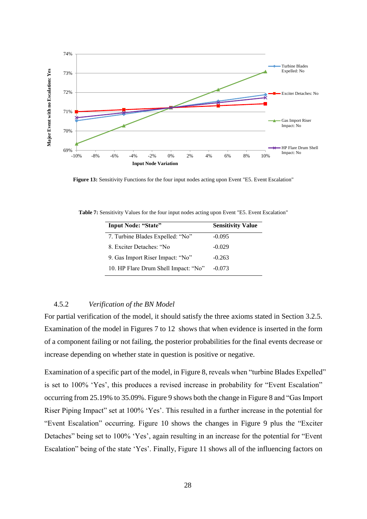

**Figure 13:** Sensitivity Functions for the four input nodes acting upon Event "E5. Event Escalation"

**Table 7:** Sensitivity Values for the four input nodes acting upon Event "E5. Event Escalation"

| <b>Input Node: "State"</b>           | <b>Sensitivity Value</b> |
|--------------------------------------|--------------------------|
| 7. Turbine Blades Expelled: "No"     | $-0.095$                 |
| 8. Exciter Detaches: "No             | $-0.029$                 |
| 9. Gas Import Riser Impact: "No"     | $-0.263$                 |
| 10. HP Flare Drum Shell Impact: "No" | $-0.073$                 |

### 4.5.2 *Verification of the BN Model*

For partial verification of the model, it should satisfy the three axioms stated in Section 3.2.5. Examination of the model in Figures 7 to 12 shows that when evidence is inserted in the form of a component failing or not failing, the posterior probabilities for the final events decrease or increase depending on whether state in question is positive or negative.

Examination of a specific part of the model, in Figure 8, reveals when "turbine Blades Expelled" is set to 100% 'Yes', this produces a revised increase in probability for "Event Escalation" occurring from 25.19% to 35.09%. Figure 9 shows both the change in Figure 8 and "Gas Import Riser Piping Impact" set at 100% 'Yes'. This resulted in a further increase in the potential for "Event Escalation" occurring. Figure 10 shows the changes in Figure 9 plus the "Exciter Detaches" being set to 100% 'Yes', again resulting in an increase for the potential for "Event" Escalation" being of the state 'Yes'. Finally, Figure 11 shows all of the influencing factors on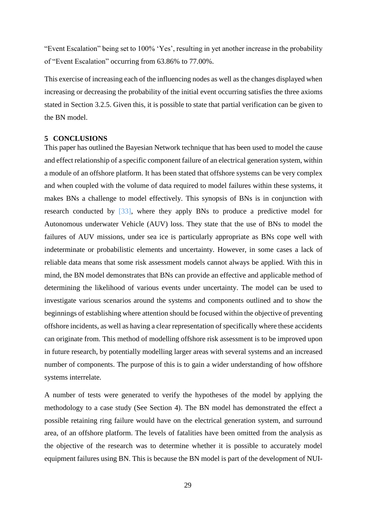"Event Escalation" being set to 100% 'Yes', resulting in yet another increase in the probability of "Event Escalation" occurring from 63.86% to 77.00%.

This exercise of increasing each of the influencing nodes as well as the changes displayed when increasing or decreasing the probability of the initial event occurring satisfies the three axioms stated in Section 3.2.5. Given this, it is possible to state that partial verification can be given to the BN model.

# **5 CONCLUSIONS**

This paper has outlined the Bayesian Network technique that has been used to model the cause and effect relationship of a specific component failure of an electrical generation system, within a module of an offshore platform. It has been stated that offshore systems can be very complex and when coupled with the volume of data required to model failures within these systems, it makes BNs a challenge to model effectively. This synopsis of BNs is in conjunction with research conducted by [33], where they apply BNs to produce a predictive model for Autonomous underwater Vehicle (AUV) loss. They state that the use of BNs to model the failures of AUV missions, under sea ice is particularly appropriate as BNs cope well with indeterminate or probabilistic elements and uncertainty. However, in some cases a lack of reliable data means that some risk assessment models cannot always be applied. With this in mind, the BN model demonstrates that BNs can provide an effective and applicable method of determining the likelihood of various events under uncertainty. The model can be used to investigate various scenarios around the systems and components outlined and to show the beginnings of establishing where attention should be focused within the objective of preventing offshore incidents, as well as having a clear representation of specifically where these accidents can originate from. This method of modelling offshore risk assessment is to be improved upon in future research, by potentially modelling larger areas with several systems and an increased number of components. The purpose of this is to gain a wider understanding of how offshore systems interrelate.

A number of tests were generated to verify the hypotheses of the model by applying the methodology to a case study (See Section 4). The BN model has demonstrated the effect a possible retaining ring failure would have on the electrical generation system, and surround area, of an offshore platform. The levels of fatalities have been omitted from the analysis as the objective of the research was to determine whether it is possible to accurately model equipment failures using BN. This is because the BN model is part of the development of NUI-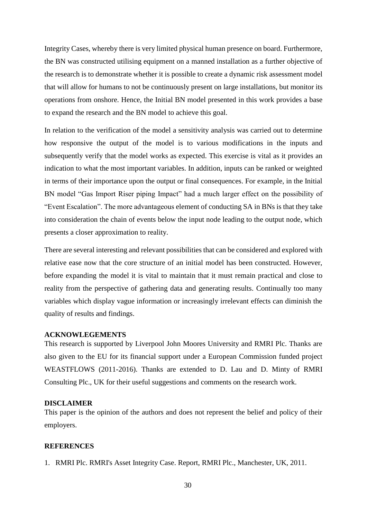Integrity Cases, whereby there is very limited physical human presence on board. Furthermore, the BN was constructed utilising equipment on a manned installation as a further objective of the research is to demonstrate whether it is possible to create a dynamic risk assessment model that will allow for humans to not be continuously present on large installations, but monitor its operations from onshore. Hence, the Initial BN model presented in this work provides a base to expand the research and the BN model to achieve this goal.

In relation to the verification of the model a sensitivity analysis was carried out to determine how responsive the output of the model is to various modifications in the inputs and subsequently verify that the model works as expected. This exercise is vital as it provides an indication to what the most important variables. In addition, inputs can be ranked or weighted in terms of their importance upon the output or final consequences. For example, in the Initial BN model "Gas Import Riser piping Impact" had a much larger effect on the possibility of "Event Escalation". The more advantageous element of conducting SA in BNs is that they take into consideration the chain of events below the input node leading to the output node, which presents a closer approximation to reality.

There are several interesting and relevant possibilities that can be considered and explored with relative ease now that the core structure of an initial model has been constructed. However, before expanding the model it is vital to maintain that it must remain practical and close to reality from the perspective of gathering data and generating results. Continually too many variables which display vague information or increasingly irrelevant effects can diminish the quality of results and findings.

#### **ACKNOWLEGEMENTS**

This research is supported by Liverpool John Moores University and RMRI Plc. Thanks are also given to the EU for its financial support under a European Commission funded project WEASTFLOWS (2011-2016). Thanks are extended to D. Lau and D. Minty of RMRI Consulting Plc., UK for their useful suggestions and comments on the research work.

# **DISCLAIMER**

This paper is the opinion of the authors and does not represent the belief and policy of their employers.

# **REFERENCES**

1. RMRI Plc. RMRI's Asset Integrity Case. Report, RMRI Plc., Manchester, UK, 2011.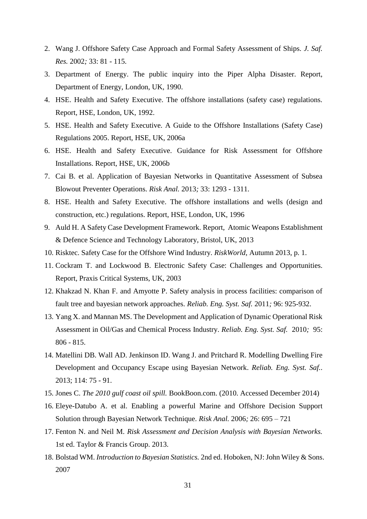- 2. Wang J. Offshore Safety Case Approach and Formal Safety Assessment of Ships. *J. Saf. Res.* 2002*;* 33: 81 - 115.
- 3. Department of Energy. The public inquiry into the Piper Alpha Disaster. Report, Department of Energy, London, UK, 1990.
- 4. HSE. Health and Safety Executive. The offshore installations (safety case) regulations*.* Report, HSE, London, UK, 1992.
- 5. HSE. Health and Safety Executive. A Guide to the Offshore Installations (Safety Case) Regulations 2005. Report, HSE, UK, 2006a
- 6. HSE. Health and Safety Executive. Guidance for Risk Assessment for Offshore Installations. Report, HSE, UK, 2006b
- 7. Cai B. et al. Application of Bayesian Networks in Quantitative Assessment of Subsea Blowout Preventer Operations. *Risk Anal.* 2013*;* 33: 1293 - 1311.
- 8. HSE. Health and Safety Executive. The offshore installations and wells (design and construction, etc.) regulations. Report, HSE, London, UK, 1996
- 9. Auld H. A Safety Case Development Framework. Report, Atomic Weapons Establishment & Defence Science and Technology Laboratory, Bristol, UK, 2013
- 10. Risktec. Safety Case for the Offshore Wind Industry. *RiskWorld*, Autumn 2013, p. 1.
- 11. Cockram T. and Lockwood B. Electronic Safety Case: Challenges and Opportunities. Report, Praxis Critical Systems, UK, 2003
- 12. Khakzad N. Khan F. and Amyotte P. Safety analysis in process facilities: comparison of fault tree and bayesian network approaches. *Reliab. Eng. Syst. Saf.* 2011*;* 96: 925-932.
- 13. Yang X. and Mannan MS. The Development and Application of Dynamic Operational Risk Assessment in Oil/Gas and Chemical Process Industry. *Reliab. Eng. Syst. Saf.* 2010*;* 95: 806 - 815.
- 14. Matellini DB. Wall AD. Jenkinson ID. Wang J. and Pritchard R. Modelling Dwelling Fire Development and Occupancy Escape using Bayesian Network. *Reliab. Eng. Syst. Saf.*. 2013; 114: 75 - 91.
- 15. Jones C. *The 2010 gulf coast oil spill.* BookBoon.com. (2010. Accessed December 2014)
- 16. Eleye-Datubo A. et al. Enabling a powerful Marine and Offshore Decision Support Solution through Bayesian Network Technique. *Risk Anal.* 2006*;* 26: 695 – 721
- 17. Fenton N. and Neil M. *Risk Assessment and Decision Analysis with Bayesian Networks.*  1st ed. Taylor & Francis Group. 2013.
- 18. Bolstad WM. *Introduction to Bayesian Statistics.* 2nd ed. Hoboken, NJ: John Wiley & Sons. 2007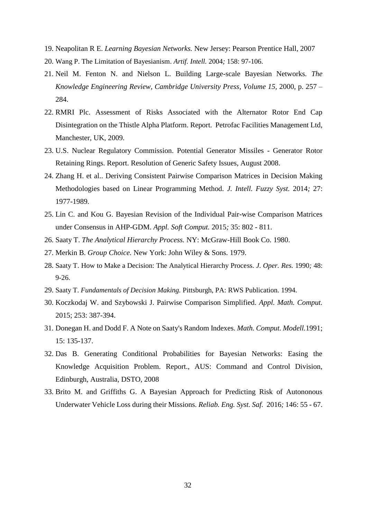- 19. Neapolitan R E. *Learning Bayesian Networks.* New Jersey: Pearson Prentice Hall, 2007
- 20. Wang P. The Limitation of Bayesianism. *Artif. Intell.* 2004*;* 158: 97-106.
- 21. Neil M. Fenton N. and Nielson L. Building Large-scale Bayesian Networks*. The Knowledge Engineering Review, Cambridge University Press, Volume 15,* 2000, p. 257 – 284.
- 22. RMRI Plc. Assessment of Risks Associated with the Alternator Rotor End Cap Disintegration on the Thistle Alpha Platform. Report. Petrofac Facilities Management Ltd, Manchester, UK, 2009.
- 23. U.S. Nuclear Regulatory Commission. Potential Generator Missiles Generator Rotor Retaining Rings. Report. Resolution of Generic Safety Issues, August 2008.
- 24. Zhang H. et al.. Deriving Consistent Pairwise Comparison Matrices in Decision Making Methodologies based on Linear Programming Method. *J. Intell. Fuzzy Syst.* 2014*;* 27: 1977-1989.
- 25. Lin C. and Kou G. Bayesian Revision of the Individual Pair-wise Comparison Matrices under Consensus in AHP-GDM. *Appl. Soft Comput.* 2015*;* 35: 802 - 811.
- 26. Saaty T. *The Analytical Hierarchy Process.* NY: McGraw-Hill Book Co. 1980.
- 27. Merkin B. *Group Choice.* New York: John Wiley & Sons. 1979.
- 28. Saaty T. How to Make a Decision: The Analytical Hierarchy Process. *J. Oper. Res.* 1990*;* 48: 9-26.
- 29. Saaty T. *Fundamentals of Decision Making.* Pittsburgh, PA: RWS Publication. 1994.
- 30. Koczkodaj W. and Szybowski J. Pairwise Comparison Simplified. *Appl. Math. Comput.*  2015; 253: 387-394.
- 31. Donegan H. and Dodd F. A Note on Saaty's Random Indexes. *Math. Comput. Modell.*1991; 15: 135-137.
- 32. Das B. Generating Conditional Probabilities for Bayesian Networks: Easing the Knowledge Acquisition Problem. Report., AUS: Command and Control Division, Edinburgh, Australia, DSTO, 2008
- 33. Brito M. and Griffiths G. A Bayesian Approach for Predicting Risk of Autononous Underwater Vehicle Loss during their Missions. *Reliab. Eng. Syst. Saf.* 2016*;* 146: 55 - 67.